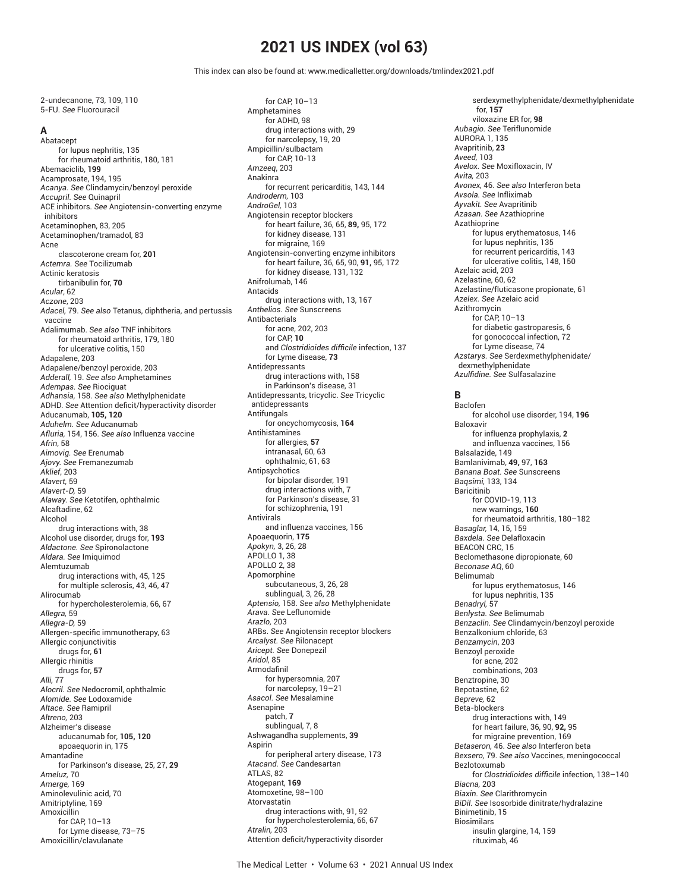# **2021 US INDEX (vol 63)**

This index can also be found at: www.medicalletter.org/downloads/tmlindex2021.pdf

2-undecanone, 73, 109, 110 5-FU. *See* Fluorouracil

## **A**

**Abatacept** for lupus nephritis, 135 for rheumatoid arthritis, 180, 181 Abemaciclib, **199** Acamprosate, 194, 195 *Acanya. See* Clindamycin/benzoyl peroxide *Accupril. See* Quinapril ACE inhibitors. *See* Angiotensin-converting enzyme inhibitors Acetaminophen, 83, 205 Acetaminophen/tramadol, 83 Acne clascoterone cream for, **201** *Actemra. See* Tocilizumab Actinic keratosis tirbanibulin for, **70** *Acular*, 62 *Aczone*, 203 *Adacel,* 79. *See also* Tetanus, diphtheria, and pertussis vaccine Adalimumab. *See also* TNF inhibitors for rheumatoid arthritis, 179, 180 for ulcerative colitis, 150 Adapalene, 203 Adapalene/benzoyl peroxide, 203 *Adderall,* 19. *See also* Amphetamines *Adempas. See* Riociguat *Adhansia,* 158. *See also* Methylphenidate ADHD. See Attention deficit/hyperactivity disorder Aducanumab, **105, 120** *Aduhelm. See* Aducanumab *Afluria,* 154, 156. *See also* Influenza vaccine *Afrin*, 58 *Aimovig. See* Erenumab *Ajovy. See* Fremanezumab *Aklief*, 203 *Alavert,* 59 *Alavert-D,* 59 *Alaway. See* Ketotifen, ophthalmic Alcaftadine, 62 Alcohol drug interactions with, 38 Alcohol use disorder, drugs for, **193** *Aldactone. See* Spironolactone *Aldara. See* Imiquimod Alemtuzumab drug interactions with, 45, 125 for multiple sclerosis, 43, 46, 47 Alirocumab for hypercholesterolemia, 66, 67 *Allegra,* 59 *Allegra-D,* 59 Allergen-specific immunotherapy, 63 Allergic conjunctivitis drugs for, **61** Allergic rhinitis drugs for, **57** *Alli,* 77 *Alocril. See* Nedocromil, ophthalmic *Alomide. See* Lodoxamide *Altace. See* Ramipril *Altreno,* 203 Alzheimer's disease aducanumab for, **105, 120** apoaequorin in, 175 Amantadine for Parkinson's disease, 25, 27, **29** *Ameluz,* 70 *Amerge,* 169 Aminolevulinic acid, 70 Amitriptyline, 169 Amoxicillin for CAP, 10–13 for Lyme disease, 73–75 Amoxicillin/clavulanate

for CAP, 10–13 Amphetamines for ADHD, 98 drug interactions with, 29 for narcolepsy, 19, 20 Ampicillin/sulbactam for CAP, 10-13 *Amzeeq*, 203 Anakinra for recurrent pericarditis, 143, 144 *Androderm,* 103 *AndroGel,* 103 Angiotensin receptor blockers for heart failure, 36, 65, **89,** 95, 172 for kidney disease, 131 for migraine, 169 Angiotensin-converting enzyme inhibitors for heart failure, 36, 65, 90, **91,** 95, 172 for kidney disease, 131, 132 Anifrolumab, 146 Antacids drug interactions with, 13, 167 *Anthelios. See* Sunscreens Antibacterials for acne, 202, 203 for CAP, **10** and *Clostridioides difficile* infection, 137 for Lyme disease, **73** Antidepressants drug interactions with, 158 in Parkinson's disease, 31 Antidepressants, tricyclic. *See* Tricyclic antidepressants Antifungals for oncychomycosis, **164** Antihistamines for allergies, **57** intranasal, 60, 63 ophthalmic, 61, 63 Antipsychotics for bipolar disorder, 191 drug interactions with, 7 for Parkinson's disease, 31 for schizophrenia, 191 Antivirals and influenza vaccines, 156 Apoaequorin, **175** *Apokyn,* 3, 26, 28 APOLLO 1, 38 APOLLO 2, 38 **Apomorphine** subcutaneous, 3, 26, 28 sublingual, 3, 26, 28 *Aptensio,* 158. *See also* Methylphenidate *Arava. See* Leflunomide *Arazlo,* 203 ARBs. *See* Angiotensin receptor blockers *Arcalyst. See* Rilonacept *Aricept. See* Donepezil *Aridol,* 85 Armodafinil for hypersomnia, 207 for narcolepsy, 19–21 *Asacol. See* Mesalamine Asenapine patch, **7** sublingual, 7, 8 Ashwagandha supplements, **39** Aspirin for peripheral artery disease, 173 *Atacand. See* Candesartan ATLAS, 82 Atogepant, **169** Atomoxetine, 98–100 Atorvastatin drug interactions with, 91, 92 for hypercholesterolemia, 66, 67 *Atralin,* 203 Attention deficit/hyperactivity disorder

serdexymethylphenidate/dexmethylphenidate for, **157** viloxazine ER for, **98** *Aubagio. See* Teriflunomide AURORA 1, 135 Avapritinib, **23** *Aveed,* 103 *Avelox. See* Moxifloxacin, IV *Avita,* 203 *Avonex,* 46. *See also* Interferon beta *Avsola. See* Infliximab *Ayvakit. See* Avapritinib *Azasan. See* Azathioprine Azathioprine for lupus erythematosus, 146 for lupus nephritis, 135 for recurrent pericarditis, 143 for ulcerative colitis, 148, 150 Azelaic acid, 203 Azelastine, 60, 62 Azelastine/fluticasone propionate, 61 *Azelex. See* Azelaic acid Azithromycin for CAP, 10–13 for diabetic gastroparesis, 6 for gonococcal infection, 72 for Lyme disease, 74 *Azstarys. See* Serdexmethylphenidate/ dexmethylphenidate *Azulfi dine. See* Sulfasalazine

### **B**

Baclofen for alcohol use disorder, 194, **196** Baloxavir for influenza prophylaxis, **2** and influenza vaccines, 156 Balsalazide, 149 Bamlanivimab, **49,** 97, **163** *Banana Boat. See* Sunscreens *Baqsimi,* 133, 134 Baricitinib for COVID-19, 113 new warnings, **160** for rheumatoid arthritis, 180–182 *Basaglar,* 14, 15, 159 *Baxdela. See* Delafloxacin BEACON CRC, 15 Beclomethasone dipropionate, 60 *Beconase AQ*, 60 Belimumab for lupus erythematosus, 146 for lupus nephritis, 135 *Benadryl,* 57 *Benlysta. See* Belimumab *Benzaclin. See* Clindamycin/benzoyl peroxide Benzalkonium chloride, 63 *Benzamycin*, 203 Benzoyl peroxide for acne, 202 combinations, 203 Benztropine, 30 Bepotastine, 62 *Bepreve,* 62 Beta-blockers drug interactions with, 149 for heart failure, 36, 90, **92,** 95 for migraine prevention, 169 *Betaseron,* 46. *See also* Interferon beta *Bexsero,* 79. *See also* Vaccines, meningococcal Bezlotoxumab for *Clostridioides difficile* infection, 138-140 *Biacna,* 203 *Biaxin. See* Clarithromycin *BiDil. See* Isosorbide dinitrate/hydralazine Binimetinib, 15 Biosimilars insulin glargine, 14, 159 rituximab, 46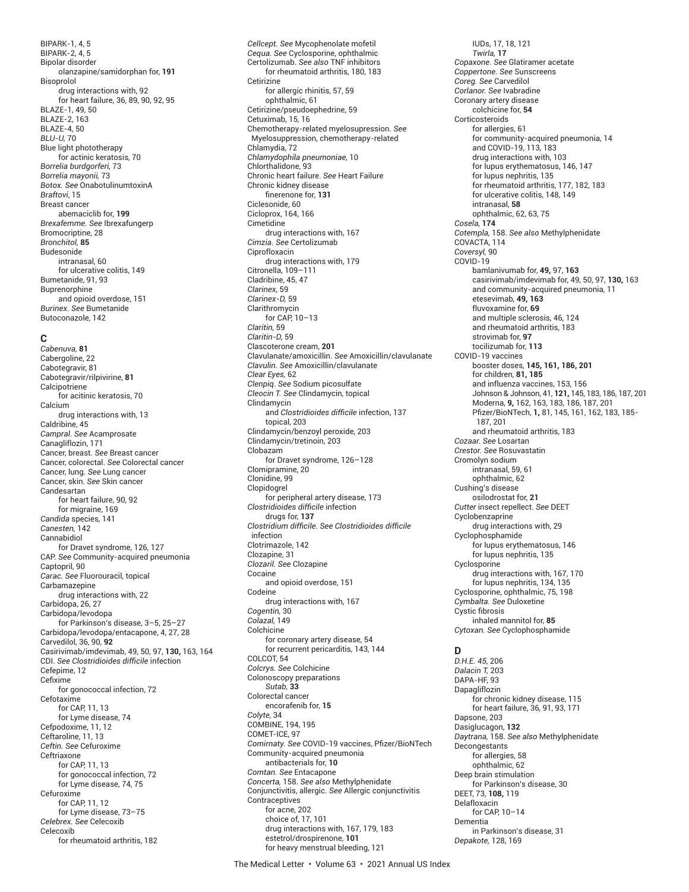BIPARK-1, 4, 5 BIPARK-2, 4, 5 Bipolar disorder olanzapine/samidorphan for, **191** Bisoprolol drug interactions with, 92 for heart failure, 36, 89, 90, 92, 95 BLAZE-1, 49, 50 BLAZE-2, 163 BLAZE-4, 50 *BLU-U,* 70 Blue light phototherapy for actinic keratosis, 70 *Borrelia burdgorferi,* 73 *Borrelia mayonii,* 73 *Botox. See* OnabotulinumtoxinA *Braftovi*, 15 Breast cancer abemaciclib for, **199** *Brexafemme. See* Ibrexafungerp Bromocriptine, 28 *Bronchitol,* **85** Budesonide intranasal, 60 for ulcerative colitis, 149 Bumetanide, 91, 93 Buprenorphine and opioid overdose, 151 *Burinex. See* Bumetanide Butoconazole, 142

### **C**

*Cabenuva,* **81** Cabergoline, 22 Cabotegravir, 81 Cabotegravir/rilpivirine, **81** Calcipotriene for acitinic keratosis, 70 Calcium drug interactions with, 13 Caldribine, 45 *Campral. See* Acamprosate Canagliflozin, 171 Cancer, breast. *See* Breast cancer Cancer, colorectal. *See* Colorectal cancer Cancer, lung. *See* Lung cancer Cancer, skin. *See* Skin cancer Candesartan for heart failure, 90, 92 for migraine, 169 *Candida* species, 141 *Canesten,* 142 Cannabidiol for Dravet syndrome, 126, 127 CAP. *See* Community-acquired pneumonia Captopril, 90 *Carac. See* Fluorouracil, topical Carbamazepine drug interactions with, 22 Carbidopa, 26, 27 Carbidopa/levodopa for Parkinson's disease, 3–5, 25–27 Carbidopa/levodopa/entacapone, 4, 27, 28 Carvedilol, 36, 90, **92** Casirivimab/imdevimab, 49, 50, 97, **130,** 163, 164 **CDI**. See *Clostridioides* difficile infection Cefepime, 12 **Cefixime** for gonococcal infection, 72 Cefotaxime for CAP, 11, 13 for Lyme disease, 74 Cefpodoxime, 11, 12 Ceftaroline, 11, 13 *Ceftin. See* Cefuroxime Ceftriaxone for CAP, 11, 13 for gonococcal infection, 72 for Lyme disease, 74, 75 Cefuroxime for CAP, 11, 12 for Lyme disease, 73–75 *Celebrex. See* Celecoxib Celecoxib for rheumatoid arthritis, 182

*Cellcept. See* Mycophenolate mofetil *Cequa. See* Cyclosporine, ophthalmic Certolizumab. *See also* TNF inhibitors for rheumatoid arthritis, 180, 183 Cetirizine for allergic rhinitis, 57, 59 ophthalmic, 61 Cetirizine/pseudoephedrine, 59 Cetuximab, 15, 16 Chemotherapy-related myelosupression. *See* Myelosuppression, chemotherapy-related Chlamydia, 72 *Chlamydophila pneumoniae,* 10 Chlorthalidone, 93 Chronic heart failure. *See* Heart Failure Chronic kidney disease finerenone for, 131 Ciclesonide, 60 Cicloprox, 164, 166 Cimetidine drug interactions with, 167 *Cimzia. See* Certolizumab Ciprofloxacin drug interactions with, 179 Citronella, 109–111 Cladribine, 45, 47 *Clarinex,* 59 *Clarinex-D,* 59 Clarithromycin for CAP, 10–13 *Claritin,* 59 *Claritin-D,* 59 Clascoterone cream, **201** Clavulanate/amoxicillin. *See* Amoxicillin/clavulanate *Clavulin. See* Amoxicillin/clavulanate *Clear Eyes,* 62 *Clenpiq*. *See* Sodium picosulfate *Cleocin T. See* Clindamycin, topical Clindamycin and *Clostridioides difficile* infection, 137 topical, 203 Clindamycin/benzoyl peroxide, 203 Clindamycin/tretinoin, 203 Clobazam for Dravet syndrome, 126–128 Clomipramine, 20 Clonidine, 99 Clopidogrel for peripheral artery disease, 173 *Clostridioides diffi cile* infection drugs for, **137** *Clostridium diffi cile. See Clostridioides diffi cile* infection Clotrimazole, 142 Clozapine, 31 *Clozaril. See* Clozapine Cocaine and opioid overdose, 151 Codeine drug interactions with, 167 *Cogentin,* 30 *Colazal,* 149 Colchicine for coronary artery disease, 54 for recurrent pericarditis, 143, 144 COLCOT, 54 *Colcrys. See* Colchicine Colonoscopy preparations *Sutab,* **33** Colorectal cancer encorafenib for, **15** *Colyte,* 34 COMBINE, 194, 195 COMET-ICE, 97 *Comirnaty. See* COVID-19 vaccines, Pfi zer/BioNTech Community-acquired pneumonia antibacterials for, **10** *Comtan. See* Entacapone *Concerta,* 158. *See also* Methylphenidate Conjunctivitis, allergic. *See* Allergic conjunctivitis Contraceptives for acne, 202 choice of, 17, 101 drug interactions with, 167, 179, 183 estetrol/drospirenone, **101** for heavy menstrual bleeding, 121

IUDs, 17, 18, 121 *Twirla,* **17** *Copaxone. See* Glatiramer acetate *Coppertone. See* Sunscreens *Coreg. See* Carvedilol *Corlanor. See* Ivabradine Coronary artery disease colchicine for, **54** Corticosteroids for allergies, 61 for community-acquired pneumonia, 14 and COVID-19, 113, 183 drug interactions with, 103 for lupus erythematosus, 146, 147 for lupus nephritis, 135 for rheumatoid arthritis, 177, 182, 183 for ulcerative colitis, 148, 149 intranasal, **58** ophthalmic, 62, 63, 75 *Cosela,* **174** *Cotempla,* 158. *See also* Methylphenidate COVACTA, 114 *Coversyl,* 90 COVID-19 bamlanivumab for, **49,** 97, **163** casirivimab/imdevimab for, 49, 50, 97, **130,** 163 and community-acquired pneumonia, 11 etesevimab, **49, 163** fluvoxamine for, **69** and multiple sclerosis, 46, 124 and rheumatoid arthritis, 183 strovimab for, **97** tocilizumab for, **113** COVID-19 vaccines booster doses, **145, 161, 186, 201** for children, **81, 185** and influenza vaccines, 153, 156 Johnson & Johnson, 41, **121,** 145, 183, 186, 187, 201 Moderna, **9,** 162, 163, 183, 186, 187, 201 Pfi zer/BioNTech, **1,** 81, 145, 161, 162, 183, 185- 187, 201 and rheumatoid arthritis, 183 *Cozaar. See* Losartan *Crestor. See* Rosuvastatin Cromolyn sodium intranasal, 59, 61 ophthalmic, 62 Cushing's disease osilodrostat for, **21** *Cutter* insect repellect. *See* DEET Cyclobenzaprine drug interactions with, 29 Cyclophosphamide for lupus erythematosus, 146 for lupus nephritis, 135 Cyclosporine drug interactions with, 167, 170 for lupus nephritis, 134, 135 Cyclosporine, ophthalmic, 75, 198 *Cymbalta. See* Duloxetine Cystic fibrosis inhaled mannitol for, **85** *Cytoxan. See* Cyclophosphamide

#### **D**

*D.H.E. 45,* 206 *Dalacin T,* 203 DAPA-HF, 93 Dapagliflozin for chronic kidney disease, 115 for heart failure, 36, 91, 93, 171 Dapsone, 203 Dasiglucagon, **132** *Daytrana,* 158. *See also* Methylphenidate Decongestants for allergies, 58 ophthalmic, 62 Deep brain stimulation for Parkinson's disease, 30 DEET, 73, **108,** 119 Delafloxacin for CAP, 10–14 Dementia in Parkinson's disease, 31 *Depakote,* 128, 169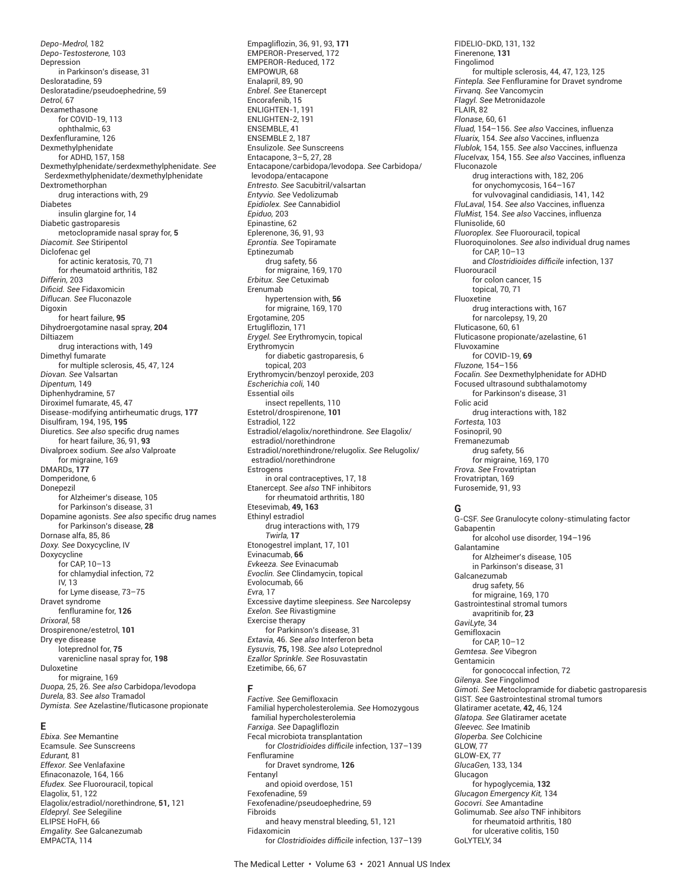*Depo-Medrol,* 182 *Depo-Testosterone,* 103 Depression in Parkinson's disease, 31 Desloratadine, 59 Desloratadine/pseudoephedrine, 59 *Detrol,* 67 Dexamethasone for COVID-19, 113 ophthalmic, 63 Dexfenfluramine, 126 Dexmethylphenidate for ADHD, 157, 158 Dexmethylphenidate/serdexmethylphenidate. *See* Serdexmethylphenidate/dexmethylphenidate Dextromethorphan drug interactions with, 29 Diabetes insulin glargine for, 14 Diabetic gastroparesis metoclopramide nasal spray for, **5** *Diacomit. See* Stiripentol Diclofenac gel for actinic keratosis, 70, 71 for rheumatoid arthritis, 182 *Differin,* 203 *Difi cid. See* Fidaxomicin *Diflucan. See* Fluconazole Digoxin for heart failure, **95** Dihydroergotamine nasal spray, **204** Diltiazem drug interactions with, 149 Dimethyl fumarate for multiple sclerosis, 45, 47, 124 *Diovan. See* Valsartan *Dipentum,* 149 Diphenhydramine, 57 Diroximel fumarate, 45, 47 Disease-modifying antirheumatic drugs, **177** Disulfi ram, 194, 195, **195** Diuretics. See also specific drug names for heart failure, 36, 91, **93** Divalproex sodium. *See also* Valproate for migraine, 169 DMARDs, **177** Domperidone, 6 Donepezil for Alzheimer's disease, 105 for Parkinson's disease, 31 Dopamine agonists. See also specific drug names for Parkinson's disease, **28** Dornase alfa, 85, 86 *Doxy. See* Doxycycline, IV Doxycycline for CAP, 10–13 for chlamydial infection, 72 IV, 13 for Lyme disease, 73–75 Dravet syndrome fenfluramine for, **126** *Drixoral*, 58 Drospirenone/estetrol, **101** Dry eye disease loteprednol for, **75** varenicline nasal spray for, **198** Duloxetine for migraine, 169 *Duopa,* 25, 26. *See also* Carbidopa/levodopa *Durela,* 83. *See also* Tramadol *Dymista. See* Azelastine/fluticasone propionate

#### **E**

*Ebixa. See* Memantine Ecamsule. *See* Sunscreens *Edurant,* 81 *Effexor. See* Venlafaxine Efinaconazole, 164, 166 *Efudex. See* Fluorouracil, topical Elagolix, 51, 122 Elagolix/estradiol/norethindrone, **51,** 121 *Eldepryl. See* Selegiline ELIPSE HoFH, 66 *Emgality. See* Galcanezumab EMPACTA, 114

Empagliflozin, 36, 91, 93, **171** EMPEROR-Preserved, 172 EMPEROR-Reduced, 172 EMPOWUR, 68 Enalapril, 89, 90 *Enbrel. See* Etanercept Encorafenib, 15 ENLIGHTEN-1, 191 ENLIGHTEN-2, 191 ENSEMBLE, 41 ENSEMBLE 2, 187 Ensulizole. *See* Sunscreens Entacapone, 3–5, 27, 28 Entacapone/carbidopa/levodopa. *See* Carbidopa/ levodopa/entacapone *Entresto. See* Sacubitril/valsartan *Entyvio. See* Vedolizumab *Epidiolex. See* Cannabidiol *Epiduo,* 203 Epinastine, 62 Eplerenone, 36, 91, 93 *Eprontia. See* Topiramate Eptinezumab drug safety, 56 for migraine, 169, 170 *Erbitux. See* Cetuximab Erenumab hypertension with, **56** for migraine, 169, 170 Ergotamine, 205 Ertugliflozin, 171 *Erygel. See* Erythromycin, topical Erythromycin for diabetic gastroparesis, 6 topical, 203 Erythromycin/benzoyl peroxide, 203 *Escherichia coli,* 140 Essential oils insect repellents, 110 Estetrol/drospirenone, **101** Estradiol, 122 Estradiol/elagolix/norethindrone. *See* Elagolix/ estradiol/norethindrone Estradiol/norethindrone/relugolix. *See* Relugolix/ estradiol/norethindrone **Estrogens** in oral contraceptives, 17, 18 Etanercept. *See also* TNF inhibitors for rheumatoid arthritis, 180 Etesevimab, **49, 163** Ethinyl estradiol drug interactions with, 179 *Twirla,* **17** Etonogestrel implant, 17, 101 Evinacumab, **66** *Evkeeza. See* Evinacumab *Evoclin. See* Clindamycin, topical Evolocumab, 66 *Evra,* 17 Excessive daytime sleepiness. *See* Narcolepsy *Exelon. See* Rivastigmine Exercise therapy for Parkinson's disease, 31 *Extavia,* 46. *See also* Interferon beta *Eysuvis,* **75,** 198. *See also* Loteprednol *Ezallor Sprinkle. See* Rosuvastatin

#### **F**

Ezetimibe, 66, 67

*Factive. See* Gemifloxacin Familial hypercholesterolemia. *See* Homozygous familial hypercholesterolemia *Farxiga. See* Dapagliflozin Fecal microbiota transplantation for *Clostridioides difficile* infection, 137-139 Fenfluramine for Dravet syndrome, **126** Fentanyl and opioid overdose, 151 Fexofenadine, 59 Fexofenadine/pseudoephedrine, 59 Fibroids and heavy menstral bleeding, 51, 121 Fidaxomicin for *Clostridioides difficile* infection, 137-139 FIDELIO-DKD, 131, 132 Finerenone, **131** Fingolimod for multiple sclerosis, 44, 47, 123, 125 *Fintepla. See* Fenfluramine for Dravet syndrome *Firvanq. See* Vancomycin *Flagyl. See* Metronidazole FLAIR, 82 *Flonase,* 60, 61 *Fluad,* 154–156. *See also* Vaccines, influenza *Fluarix,* 154. *See also* Vaccines, influenza *Flublok,* 154, 155. *See also* Vaccines, influenza *FluceIvax,* 154, 155. *See also* Vaccines, influenza Fluconazole drug interactions with, 182, 206 for onychomycosis, 164–167 for vulvovaginal candidiasis, 141, 142 *FluLaval,* 154. *See also* Vaccines, influenza *FluMist,* 154. *See also* Vaccines, influenza Flunisolide, 60 *Fluoroplex. See* Fluorouracil, topical Fluoroquinolones. *See also* individual drug names for CAP, 10–13 and *Clostridioides difficile* infection, 137 Fluorouracil for colon cancer, 15 topical, 70, 71 Fluoxetine drug interactions with, 167 for narcolepsy, 19, 20 Fluticasone, 60, 61 Fluticasone propionate/azelastine, 61 Fluvoxamine for COVID-19, **69** *Fluzone,* 154–156 *Focalin. See* Dexmethylphenidate for ADHD Focused ultrasound subthalamotomy for Parkinson's disease, 31 Folic acid drug interactions with, 182 *Fortesta,* 103 Fosinopril, 90 Fremanezumab drug safety, 56 for migraine, 169, 170 *Frova. See* Frovatriptan Frovatriptan, 169

#### **G**

Furosemide, 91, 93

G-CSF. *See* Granulocyte colony-stimulating factor Gabapentin for alcohol use disorder, 194–196 Galantamine for Alzheimer's disease, 105 in Parkinson's disease, 31 Galcanezumab drug safety, 56 for migraine, 169, 170 Gastrointestinal stromal tumors avapritinib for, **23** *GaviLyte,* 34 Gemifloxacin for CAP, 10–12 *Gemtesa. See* Vibegron Gentamicin for gonococcal infection, 72 *Gilenya. See* Fingolimod *Gimoti. See* Metoclopramide for diabetic gastroparesis GIST. *See* Gastrointestinal stromal tumors Glatiramer acetate, **42,** 46, 124 *Glatopa. See* Glatiramer acetate *Gleevec. See* Imatinib *Gloperba. See* Colchicine GLOW, 77 GLOW-EX, 77 *GlucaGen,* 133, 134 Glucagon for hypoglycemia, **132** *Glucagon Emergency Kit,* 134 *Gocovri. See* Amantadine Golimumab. *See also* TNF inhibitors for rheumatoid arthritis, 180 for ulcerative colitis, 150 GoLYTELY, 34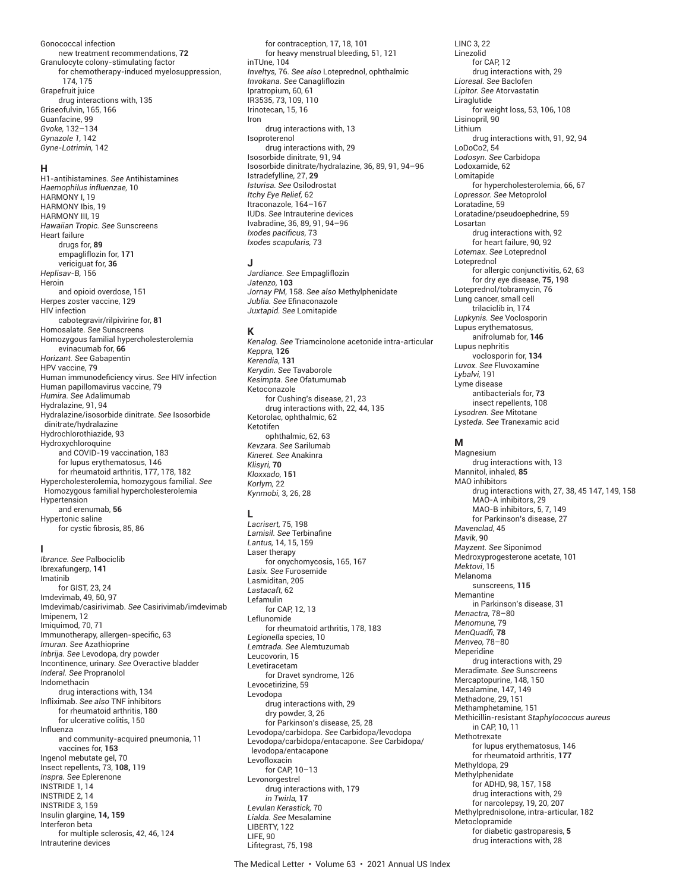#### Gonococcal infection new treatment recommendations, **72** Granulocyte colony-stimulating factor for chemotherapy-induced myelosuppression,

 174, 175 Grapefruit juice drug interactions with, 135 Griseofulvin, 165, 166 Guanfacine, 99 *Gvoke,* 132–134 *Gynazole 1,* 142 *Gyne-Lotrimin,* 142

### **H**

H1-antihistamines. *See* Antihistamines *Haemophilus influenzae,* 10 HARMONY I, 19 HARMONY Ibis, 19 HARMONY III, 19 *Hawaiian Tropic. See* Sunscreens Heart failure drugs for, **89** empagliflozin for, **171** vericiguat for, **36** *Heplisav-B,* 156 Heroin and opioid overdose, 151 Herpes zoster vaccine, 129 HIV infection cabotegravir/rilpivirine for, **81** Homosalate. *See* Sunscreens Homozygous familial hypercholesterolemia evinacumab for, **66** *Horizant. See* Gabapentin HPV vaccine, 79 Human immunodeficiency virus. See HIV infection Human papillomavirus vaccine, 79 *Humira. See* Adalimumab Hydralazine, 91, 94 Hydralazine/isosorbide dinitrate. *See* Isosorbide dinitrate/hydralazine Hydrochlorothiazide, 93 Hydroxychloroquine and COVID-19 vaccination, 183 for lupus erythematosus, 146 for rheumatoid arthritis, 177, 178, 182 Hypercholesterolemia, homozygous familial. *See* Homozygous familial hypercholesterolemia Hypertension and erenumab, **56** Hypertonic saline

for cystic fibrosis, 85, 86

### **I**

*Ibrance. See* Palbociclib Ibrexafungerp, **141** Imatinib for GIST, 23, 24 Imdevimab, 49, 50, 97 Imdevimab/casirivimab. *See* Casirivimab/imdevimab Imipenem, 12 Imiquimod, 70, 71 Immunotherapy, allergen-specific, 63 *Imuran. See* Azathioprine *Inbrija. See* Levodopa, dry powder Incontinence, urinary. *See* Overactive bladder *Inderal. See* Propranolol Indomethacin drug interactions with, 134 Infliximab. *See also* TNF inhibitors for rheumatoid arthritis, 180 for ulcerative colitis, 150 Influenza and community-acquired pneumonia, 11 vaccines for, **153** Ingenol mebutate gel, 70 Insect repellents, 73, **108,** 119 *Inspra. See* Eplerenone INSTRIDE 1, 14 INSTRIDE 2, 14 INSTRIDE 3, 159 Insulin glargine, **14, 159** Interferon beta for multiple sclerosis, 42, 46, 124 Intrauterine devices

for contraception, 17, 18, 101 for heavy menstrual bleeding, 51, 121 inTUne, 104 *Inveltys,* 76. *See also* Loteprednol, ophthalmic *Invokana. See* Canagliflozin Ipratropium, 60, 61 IR3535, 73, 109, 110 Irinotecan, 15, 16 Iron drug interactions with, 13 Isoproterenol drug interactions with, 29 Isosorbide dinitrate, 91, 94 Isosorbide dinitrate/hydralazine, 36, 89, 91, 94–96 Istradefylline, 27, **29** *Isturisa. See* Osilodrostat *Itchy Eye Relief,* 62 Itraconazole, 164–167 IUDs. *See* Intrauterine devices Ivabradine, 36, 89, 91, 94–96 *Ixodes pacifi cus,* 73 *Ixodes scapularis,* 73

#### **J**

*Jardiance. See* Empagliflozin *Jatenzo,* **103** *Jornay PM,* 158. *See also* Methylphenidate *Jublia. See* Efi naconazole *Juxtapid. See* Lomitapide

#### **K**

*Kenalog. See* Triamcinolone acetonide intra-articular *Keppra,* **126** *Kerendia,* **131** *Kerydin. See* Tavaborole *Kesimpta. See* Ofatumumab Ketoconazole for Cushing's disease, 21, 23 drug interactions with, 22, 44, 135 Ketorolac, ophthalmic, 62 Ketotifen ophthalmic, 62, 63 *Kevzara. See* Sarilumab *Kineret. See* Anakinra *Klisyri,* **70** *Kloxxado,* **151** *Korlym,* 22 *Kynmobi,* 3, 26, 28

### **L**

*Lacrisert,* 75, 198 Lamisil. See Terbinafine *Lantus,* 14, 15, 159 Laser therapy for onychomycosis, 165, 167 *Lasix. See* Furosemide Lasmiditan, 205 *Lastacaft,* 62 Lefamulin for CAP, 12, 13 Leflunomide for rheumatoid arthritis, 178, 183 *Legionella* species, 10 *Lemtrada. See* Alemtuzumab Leucovorin, 15 Levetiracetam for Dravet syndrome, 126 Levocetirizine, 59 Levodopa drug interactions with, 29 dry powder, 3, 26 for Parkinson's disease, 25, 28 Levodopa/carbidopa. *See* Carbidopa/levodopa Levodopa/carbidopa/entacapone. *See* Carbidopa/ levodopa/entacapone Levofloxacin for CAP, 10–13 Levonorgestrel drug interactions with, 179 *in Twirla,* **17** *Levulan Kerastick,* 70 *Lialda. See* Mesalamine LIBERTY, 122 LIFF<sub>90</sub> Lifitegrast, 75, 198

LINC 3, 22 Linezolid for CAP, 12 drug interactions with, 29 *Lioresal. See* Baclofen *Lipitor. See* Atorvastatin **Liraglutide** for weight loss, 53, 106, 108 Lisinopril, 90 Lithium drug interactions with, 91, 92, 94 LoDoCo2, 54 *Lodosyn. See* Carbidopa Lodoxamide, 62 Lomitapide for hypercholesterolemia, 66, 67 *Lopressor. See* Metoprolol Loratadine, 59 Loratadine/pseudoephedrine, 59 Losartan drug interactions with, 92 for heart failure, 90, 92 *Lotemax*. *See* Loteprednol Loteprednol for allergic conjunctivitis, 62, 63 for dry eye disease, **75,** 198 Loteprednol/tobramycin, 76 Lung cancer, small cell trilaciclib in, 174 *Lupkynis. See* Voclosporin Lupus erythematosus, anifrolumab for, **146** Lupus nephritis voclosporin for, **134** *Luvox. See* Fluvoxamine *Lybalvi,* 191 Lyme disease antibacterials for, **73** insect repellents, 108 *Lysodren. See* Mitotane *Lysteda. See* Tranexamic acid

#### **M**

Magnesium drug interactions with, 13 Mannitol, inhaled, **85** MAO inhibitors drug interactions with, 27, 38, 45 147, 149, 158 MAO-A inhibitors, 29 MAO-B inhibitors, 5, 7, 149 for Parkinson's disease, 27 *Mavenclad*, 45 *Mavik*, 90 *Mayzent. See* Siponimod Medroxyprogesterone acetate, 101 *Mektovi*, 15 Melanoma sunscreens, **115** Memantine in Parkinson's disease, 31 *Menactra,* 78–80 *Menomune,* 79 *MenQuadfi ,* **78** *Menveo,* 78–80 Meperidine drug interactions with, 29 Meradimate. *See* Sunscreens Mercaptopurine, 148, 150 Mesalamine, 147, 149 Methadone, 29, 151 Methamphetamine, 151 Methicillin-resistant *Staphylococcus aureus* in CAP, 10, 11 Methotrexate for lupus erythematosus, 146 for rheumatoid arthritis, **177** Methyldopa, 29 Methylphenidate for ADHD, 98, 157, 158 drug interactions with, 29 for narcolepsy, 19, 20, 207 Methylprednisolone, intra-articular, 182 Metoclopramide for diabetic gastroparesis, **5** drug interactions with, 28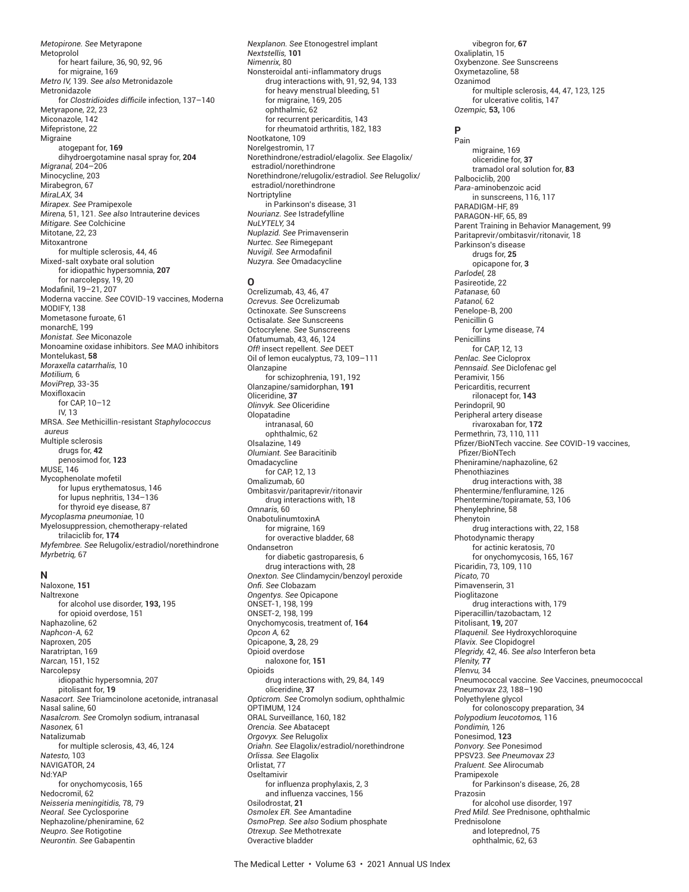*Metopirone. See* Metyrapone Metoprolol for heart failure, 36, 90, 92, 96 for migraine, 169 *Metro IV,* 139. *See also* Metronidazole Metronidazole for *Clostridioides difficile* infection, 137-140 Metyrapone, 22, 23 Miconazole, 142 Mifepristone, 22 Migraine atogepant for, **169** dihydroergotamine nasal spray for, **204** *Migranal,* 204–206 Minocycline, 203 Mirabegron, 67 *MiraLAX,* 34 *Mirapex. See* Pramipexole *Mirena,* 51, 121. *See also* Intrauterine devices *Mitigare. See* Colchicine Mitotane, 22, 23 Mitoxantrone for multiple sclerosis, 44, 46 Mixed-salt oxybate oral solution for idiopathic hypersomnia, **207** for narcolepsy, 19, 20 Modafinil, 19-21, 207 Moderna vaccine. *See* COVID-19 vaccines, Moderna MODIFY, 138 Mometasone furoate, 61 monarchE, 199 *Monistat. See* Miconazole Monoamine oxidase inhibitors. *See* MAO inhibitors Montelukast, **58** *Moraxella catarrhalis,* 10 *Motilium,* 6 *MoviPrep,* 33-35 Moxifloxacin for CAP, 10–12 IV, 13 MRSA. *See* Methicillin-resistant *Staphylococcus aureus* Multiple sclerosis drugs for, **42** penosimod for, **123** MUSE, 146 Mycophenolate mofetil for lupus erythematosus, 146 for lupus nephritis, 134–136 for thyroid eye disease, 87 *Mycoplasma pneumoniae,* 10 Myelosuppression, chemotherapy-related trilaciclib for, **174** *Myfembree. See* Relugolix/estradiol/norethindrone *Myrbetriq,* 67

#### **N**

Naloxone, **151** Naltrexone for alcohol use disorder, **193,** 195 for opioid overdose, 151 Naphazoline, 62 *Naphcon-A,* 62 Naproxen, 205 Naratriptan, 169 *Narcan,* 151, 152 **Narcolepsy** idiopathic hypersomnia, 207 pitolisant for, **19** *Nasacort. See* Triamcinolone acetonide, intranasal Nasal saline, 60 *Nasalcrom. See* Cromolyn sodium, intranasal *Nasonex,* 61 Natalizumab for multiple sclerosis, 43, 46, 124 *Natesto,* 103 NAVIGATOR, 24 Nd:YAP for onychomycosis, 165 Nedocromil, 62 *Neisseria meningitidis,* 78, 79 *Neoral. See* Cyclosporine Nephazoline/pheniramine, 62 *Neupro. See* Rotigotine *Neurontin. See* Gabapentin

*Nexplanon. See* Etonogestrel implant *Nextstellis,* **101** *Nimenrix,* 80 Nonsteroidal anti-inflammatory drugs drug interactions with, 91, 92, 94, 133 for heavy menstrual bleeding, 51 for migraine, 169, 205 ophthalmic, 62 for recurrent pericarditis, 143 for rheumatoid arthritis, 182, 183 Nootkatone, 109 Norelgestromin, 17 Norethindrone/estradiol/elagolix. *See* Elagolix/ estradiol/norethindrone Norethindrone/relugolix/estradiol. *See* Relugolix/ estradiol/norethindrone **Nortriptyline** in Parkinson's disease, 31 *Nourianz. See* Istradefylline *NuLYTELY,* 34 *Nuplazid. See* Primavenserin *Nurtec. See* Rimegepant *Nuvigil.* See Armodafinil *Nuzyra. See* Omadacycline

#### **O**

Ocrelizumab, 43, 46, 47 *Ocrevus. See* Ocrelizumab Octinoxate. *See* Sunscreens Octisalate. *See* Sunscreens Octocrylene. *See* Sunscreens Ofatumumab, 43, 46, 124 *Off!* insect repellent. *See* DEET Oil of lemon eucalyptus, 73, 109–111 Olanzapine for schizophrenia, 191, 192 Olanzapine/samidorphan, **191** Oliceridine, **37** *Olinvyk. See* Oliceridine Olopatadine intranasal, 60 ophthalmic, 62 Olsalazine, 149 *Olumiant. See* Baracitinib **Omadacycline** for CAP, 12, 13 Omalizumab, 60 Ombitasvir/paritaprevir/ritonavir drug interactions with, 18 *Omnaris,* 60 OnabotulinumtoxinA for migraine, 169 for overactive bladder, 68 Ondansetron for diabetic gastroparesis, 6 drug interactions with, 28 *Onexton. See* Clindamycin/benzoyl peroxide *Onfi . See* Clobazam *Ongentys. See* Opicapone ONSET-1, 198, 199 ONSET-2, 198, 199 Onychomycosis, treatment of, **164** *Opcon A,* 62 Opicapone, **3,** 28, 29 Opioid overdose naloxone for, **151** Opioids drug interactions with, 29, 84, 149 oliceridine, **37** *Opticrom. See* Cromolyn sodium, ophthalmic OPTIMUM, 124 ORAL Surveillance, 160, 182 *Orencia. See* Abatacept *Orgovyx. See* Relugolix *Oriahn. See* Elagolix/estradiol/norethindrone *Orlissa. See* Elagolix Orlistat, 77 Oseltamivir for influenza prophylaxis, 2, 3 and influenza vaccines, 156 Osilodrostat, **21** *Osmolex ER. See* Amantadine *OsmoPrep. See also* Sodium phosphate *Otrexup. See* Methotrexate Overactive bladder

vibegron for, **67** Oxaliplatin, 15 Oxybenzone. *See* Sunscreens Oxymetazoline, 58 Ozanimod for multiple sclerosis, 44, 47, 123, 125 for ulcerative colitis, 147 *Ozempic,* **53,** 106

# **P**

Pain migraine, 169 oliceridine for, **37** tramadol oral solution for, **83** Palbociclib, 200 *Para*-aminobenzoic acid in sunscreens, 116, 117 PARADIGM-HF, 89 PARAGON-HF, 65, 89 Parent Training in Behavior Management, 99 Paritaprevir/ombitasvir/ritonavir, 18 Parkinson's disease drugs for, **25** opicapone for, **3** *Parlodel,* 28 Pasireotide, 22 *Patanase,* 60 *Patanol,* 62 Penelope-B, 200 Penicillin G for Lyme disease, 74 **Penicillins** for CAP, 12, 13 *Penlac. See* Cicloprox *Pennsaid. See* Diclofenac gel Peramivir, 156 Pericarditis, recurrent rilonacept for, **143** Perindopril, 90 Peripheral artery disease rivaroxaban for, **172** Permethrin, 73, 110, 111 Pfi zer/BioNTech vaccine. *See* COVID-19 vaccines, Pfizer/BioNTech Pheniramine/naphazoline, 62 Phenothiazines drug interactions with, 38 Phentermine/fenfluramine, 126 Phentermine/topiramate, 53, 106 Phenylephrine, 58 Phenytoin drug interactions with, 22, 158 Photodynamic therapy for actinic keratosis, 70 for onychomycosis, 165, 167 Picaridin, 73, 109, 110 *Picato,* 70 Pimavenserin, 31 Pioglitazone drug interactions with, 179 Piperacillin/tazobactam, 12 Pitolisant, **19,** 207 *Plaquenil. See* Hydroxychloroquine *Plavix. See* Clopidogrel *Plegridy,* 42, 46. *See also* Interferon beta *Plenity,* **77** *Plenvu,* 34 Pneumococcal vaccine. *See* Vaccines, pneumococcal *Pneumovax 23,* 188–190 Polyethylene glycol for colonoscopy preparation, 34 *Polypodium leucotomos,* 116 *Pondimin,* 126 Ponesimod, **123** *Ponvory. See* Ponesimod PPSV23. *See Pneumovax 23 Praluent. See* Alirocumab Pramipexole for Parkinson's disease, 26, 28 Prazosin for alcohol use disorder, 197 *Pred Mild. See* Prednisone, ophthalmic Prednisolone and loteprednol, 75 ophthalmic, 62, 63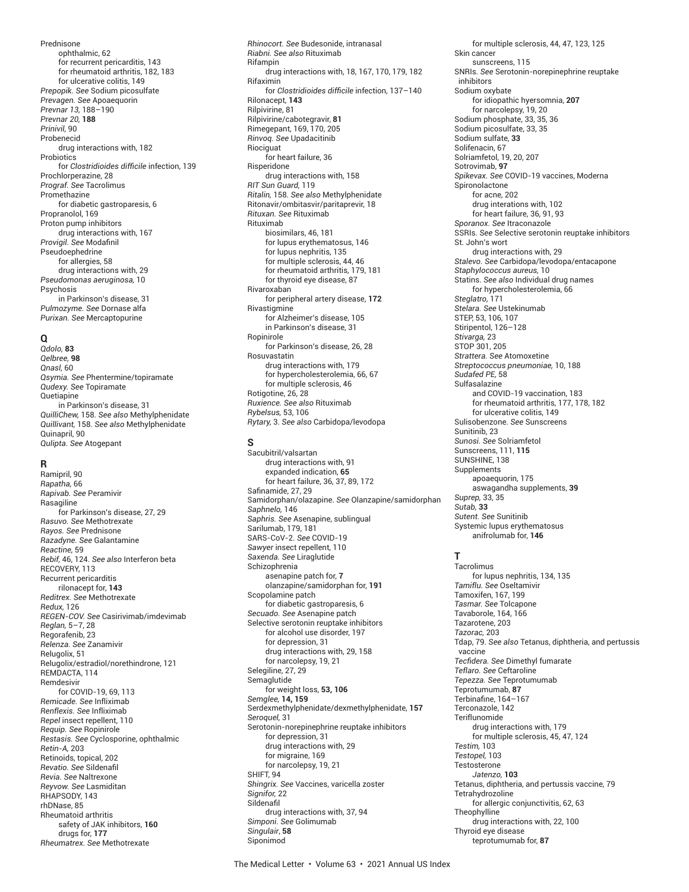Prednisone ophthalmic, 62 for recurrent pericarditis, 143 for rheumatoid arthritis, 182, 183 for ulcerative colitis, 149 *Prepopik. See* Sodium picosulfate *Prevagen. See* Apoaequorin *Prevnar 13,* 188–190 *Prevnar 20,* **188** *Prinivil,* 90 Probenecid drug interactions with, 182 Probiotics for *Clostridioides difficile* infection, 139 Prochlorperazine, 28 *Prograf. See* Tacrolimus Promethazine for diabetic gastroparesis, 6 Propranolol, 169 Proton pump inhibitors drug interactions with, 167 Provigil. See Modafinil Pseudoephedrine for allergies, 58 drug interactions with, 29 *Pseudomonas aeruginosa,* 10 Psychosis in Parkinson's disease, 31 *Pulmozyme. See* Dornase alfa *Purixan. See* Mercaptopurine

## **Q**

*Qdolo,* **83** *Qelbree,* **98** *Qnasl,* 60 *Qsymia. See* Phentermine/topiramate *Qudexy. See* Topiramate Quetiapine in Parkinson's disease, 31 *QuilliChew,* 158. *See also* Methylphenidate *Quillivant,* 158. *See also* Methylphenidate Quinapril, 90 *Qulipta*. *See* Atogepant

### **R**

Ramipril, 90 *Rapatha,* 66 *Rapivab. See* Peramivir Rasagiline for Parkinson's disease, 27, 29 *Rasuvo. See* Methotrexate *Rayos. See* Prednisone *Razadyne. See* Galantamine *Reactine,* 59 *Rebif,* 46, 124. *See also* Interferon beta RECOVERY, 113 Recurrent pericarditis rilonacept for, **143** *Reditrex. See* Methotrexate *Redux,* 126 *REGEN-COV. See* Casirivimab/imdevimab *Reglan,* 5–7, 28 Regorafenib, 23 *Relenza. See* Zanamivir Relugolix, 51 Relugolix/estradiol/norethindrone, 121 REMDACTA, 114 Remdesivir for COVID-19, 69, 113 *Remicade. See* Infliximab *Renflexis. See* Infliximab *Repel* insect repellent, 110 *Requip. See* Ropinirole *Restasis. See* Cyclosporine, ophthalmic *Retin-A,* 203 Retinoids, topical, 202 *Revatio. See* Sildenafi l *Revia. See* Naltrexone *Reyvow. See* Lasmiditan RHAPSODY, 143 rhDNase, 85 Rheumatoid arthritis safety of JAK inhibitors, **160** drugs for, **177** *Rheumatrex. See* Methotrexate

*Rhinocort. See* Budesonide, intranasal *Riabni. See also* Rituximab Rifampin drug interactions with, 18, 167, 170, 179, 182 Rifaximin for *Clostridioides difficile* infection, 137-140 Rilonacept, **143** Rilpivirine, 81 Rilpivirine/cabotegravir, **81** Rimegepant, 169, 170, 205 *Rinvoq. See* Upadacitinib Riociguat for heart failure, 36 Risperidone drug interactions with, 158 *RIT Sun Guard,* 119 *Ritalin,* 158. *See also* Methylphenidate Ritonavir/ombitasvir/paritaprevir, 18 *Rituxan. See* Rituximab Rituximab biosimilars, 46, 181 for lupus erythematosus, 146 for lupus nephritis, 135 for multiple sclerosis, 44, 46 for rheumatoid arthritis, 179, 181 for thyroid eye disease, 87 Rivaroxaban for peripheral artery disease, **172** Rivastigmine for Alzheimer's disease, 105 in Parkinson's disease, 31 Ropinirole for Parkinson's disease, 26, 28 Rosuvastatin drug interactions with, 179 for hypercholesterolemia, 66, 67 for multiple sclerosis, 46 Rotigotine, 26, 28 *Ruxience. See also* Rituximab *Rybelsus,* 53, 106 *Rytary,* 3. *See also* Carbidopa/levodopa

### **S**

Sacubitril/valsartan drug interactions with, 91 expanded indication, **65** for heart failure, 36, 37, 89, 172 Safinamide, 27, 29 Samidorphan/olazapine. *See* Olanzapine/samidorphan *Saphnelo,* 146 *Saphris. See* Asenapine, sublingual Sarilumab, 179, 181 SARS-CoV-2. *See* COVID-19 *Sawyer* insect repellent, 110 *Saxenda. See* Liraglutide Schizophrenia asenapine patch for, **7** olanzapine/samidorphan for, **191** Scopolamine patch for diabetic gastroparesis, 6 *Secuado. See* Asenapine patch Selective serotonin reuptake inhibitors for alcohol use disorder, 197 for depression, 31 drug interactions with, 29, 158 for narcolepsy, 19, 21 Selegiline, 27, 29 Semaglutide for weight loss, **53, 106** *Semglee,* **14, 159** Serdexmethylphenidate/dexmethylphenidate, **157** *Seroquel,* 31 Serotonin-norepinephrine reuptake inhibitors for depression, 31 drug interactions with, 29 for migraine, 169 for narcolepsy, 19, 21 SHIFT, 94 *Shingrix. See* Vaccines, varicella zoster *Signifor,* 22 **Sildenafil** drug interactions with, 37, 94 *Simponi. See* Golimumab *Singulair*, **58** Siponimod

for multiple sclerosis, 44, 47, 123, 125 Skin cancer sunscreens, 115 SNRIs. *See* Serotonin-norepinephrine reuptake inhibitors Sodium oxybate for idiopathic hyersomnia, **207** for narcolepsy, 19, 20 Sodium phosphate, 33, 35, 36 Sodium picosulfate, 33, 35 Sodium sulfate, **33** Solifenacin, 67 Solriamfetol, 19, 20, 207 Sotrovimab, **97** *Spikevax. See* COVID-19 vaccines, Moderna Spironolactone for acne, 202 drug interations with, 102 for heart failure, 36, 91, 93 *Sporanox. See* Itraconazole SSRIs. *See* Selective serotonin reuptake inhibitors St. John's wort drug interactions with, 29 *Stalevo. See* Carbidopa/levodopa/entacapone *Staphylococcus aureus,* 10 Statins. *See also* Individual drug names for hypercholesterolemia, 66 *Steglatro,* 171 *Stelara. See* Ustekinumab STEP, 53, 106, 107 Stiripentol, 126–128 *Stivarga,* 23 STOP 301, 205 *Strattera. See* Atomoxetine *Streptococcus pneumoniae,* 10, 188 *Sudafed PE,* 58 Sulfasalazine and COVID-19 vaccination, 183 for rheumatoid arthritis, 177, 178, 182 for ulcerative colitis, 149 Sulisobenzone. *See* Sunscreens Sunitinib, 23 *Sunosi. See* Solriamfetol Sunscreens, 111, **115** SUNSHINE, 138 Supplements apoaequorin, 175 aswagandha supplements, **39** *Suprep,* 33, 35 *Sutab,* **33** *Sutent. See* Sunitinib Systemic lupus erythematosus

#### **T**

anifrolumab for, **146**

Tacrolimus for lupus nephritis, 134, 135 *Tamiflu. See* Oseltamivir Tamoxifen, 167, 199 *Tasmar. See* Tolcapone Tavaborole, 164, 166 Tazarotene, 203 *Tazorac,* 203 Tdap, 79. *See also* Tetanus, diphtheria, and pertussis vaccine *Tecfi dera. See* Dimethyl fumarate *Teflaro. See* Ceftaroline *Tepezza. See* Teprotumumab Teprotumumab, **87** Terbinafine, 164-167 Terconazole, 142 Teriflunomide drug interactions with, 179 for multiple sclerosis, 45, 47, 124 *Testim,* 103 *Testopel,* 103 **Testosterone** *Jatenzo,* **103** Tetanus, diphtheria, and pertussis vaccine, 79 Tetrahydrozoline for allergic conjunctivitis, 62, 63 Theophylline<sup>7</sup> drug interactions with, 22, 100 Thyroid eye disease teprotumumab for, **87**